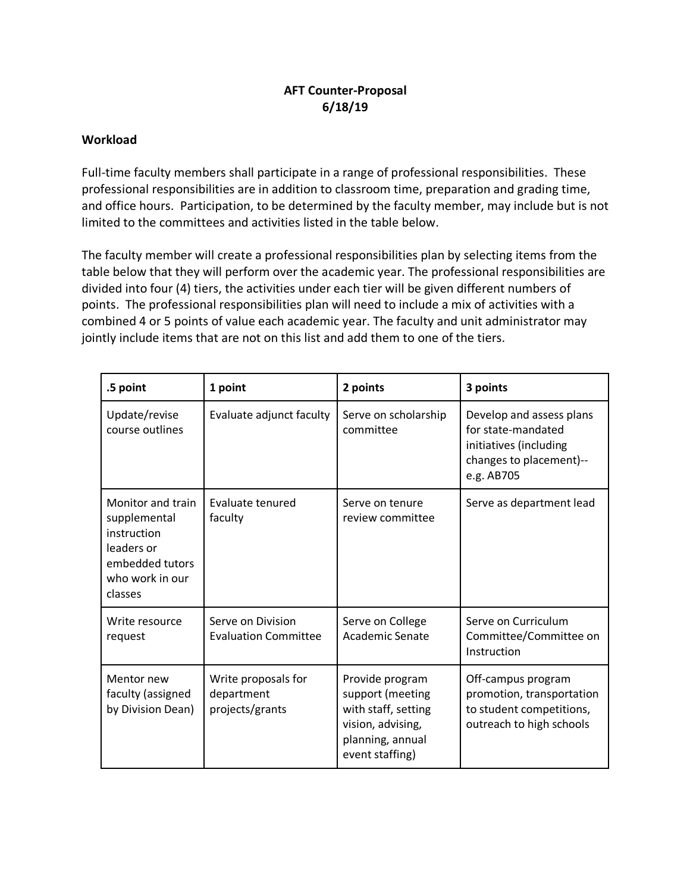## **AFT Counter-Proposal 6/18/19**

## **Workload**

Full-time faculty members shall participate in a range of professional responsibilities. These professional responsibilities are in addition to classroom time, preparation and grading time, and office hours. Participation, to be determined by the faculty member, may include but is not limited to the committees and activities listed in the table below.

The faculty member will create a professional responsibilities plan by selecting items from the table below that they will perform over the academic year. The professional responsibilities are divided into four (4) tiers, the activities under each tier will be given different numbers of points. The professional responsibilities plan will need to include a mix of activities with a combined 4 or 5 points of value each academic year. The faculty and unit administrator may jointly include items that are not on this list and add them to one of the tiers.

| .5 point                                                                                                        | 1 point                                              | 2 points                                                                                                               | 3 points                                                                                                          |
|-----------------------------------------------------------------------------------------------------------------|------------------------------------------------------|------------------------------------------------------------------------------------------------------------------------|-------------------------------------------------------------------------------------------------------------------|
| Update/revise<br>course outlines                                                                                | Evaluate adjunct faculty                             | Serve on scholarship<br>committee                                                                                      | Develop and assess plans<br>for state-mandated<br>initiatives (including<br>changes to placement)--<br>e.g. AB705 |
| Monitor and train<br>supplemental<br>instruction<br>leaders or<br>embedded tutors<br>who work in our<br>classes | Evaluate tenured<br>faculty                          | Serve on tenure<br>review committee                                                                                    | Serve as department lead                                                                                          |
| Write resource<br>request                                                                                       | Serve on Division<br><b>Evaluation Committee</b>     | Serve on College<br><b>Academic Senate</b>                                                                             | Serve on Curriculum<br>Committee/Committee on<br>Instruction                                                      |
| Mentor new<br>faculty (assigned<br>by Division Dean)                                                            | Write proposals for<br>department<br>projects/grants | Provide program<br>support (meeting<br>with staff, setting<br>vision, advising,<br>planning, annual<br>event staffing) | Off-campus program<br>promotion, transportation<br>to student competitions,<br>outreach to high schools           |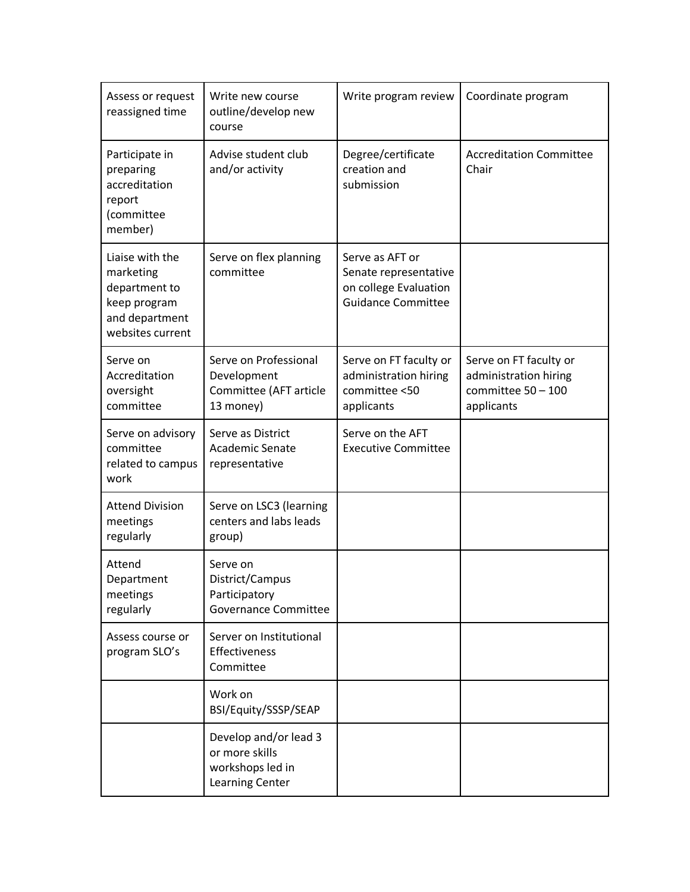| Assess or request<br>reassigned time                                                                | Write new course<br>outline/develop new<br>course                                     | Write program review                                                                           | Coordinate program                                                                    |
|-----------------------------------------------------------------------------------------------------|---------------------------------------------------------------------------------------|------------------------------------------------------------------------------------------------|---------------------------------------------------------------------------------------|
| Participate in<br>preparing<br>accreditation<br>report<br>(committee<br>member)                     | Advise student club<br>and/or activity                                                | Degree/certificate<br>creation and<br>submission                                               | <b>Accreditation Committee</b><br>Chair                                               |
| Liaise with the<br>marketing<br>department to<br>keep program<br>and department<br>websites current | Serve on flex planning<br>committee                                                   | Serve as AFT or<br>Senate representative<br>on college Evaluation<br><b>Guidance Committee</b> |                                                                                       |
| Serve on<br>Accreditation<br>oversight<br>committee                                                 | Serve on Professional<br>Development<br>Committee (AFT article<br>13 money)           | Serve on FT faculty or<br>administration hiring<br>committee <50<br>applicants                 | Serve on FT faculty or<br>administration hiring<br>committee $50 - 100$<br>applicants |
| Serve on advisory<br>committee<br>related to campus<br>work                                         | Serve as District<br><b>Academic Senate</b><br>representative                         | Serve on the AFT<br><b>Executive Committee</b>                                                 |                                                                                       |
| <b>Attend Division</b><br>meetings<br>regularly                                                     | Serve on LSC3 (learning<br>centers and labs leads<br>group)                           |                                                                                                |                                                                                       |
| Attend<br>Department<br>meetings<br>regularly                                                       | Serve on<br>District/Campus<br>Participatory<br><b>Governance Committee</b>           |                                                                                                |                                                                                       |
| Assess course or<br>program SLO's                                                                   | Server on Institutional<br>Effectiveness<br>Committee                                 |                                                                                                |                                                                                       |
|                                                                                                     | Work on<br>BSI/Equity/SSSP/SEAP                                                       |                                                                                                |                                                                                       |
|                                                                                                     | Develop and/or lead 3<br>or more skills<br>workshops led in<br><b>Learning Center</b> |                                                                                                |                                                                                       |